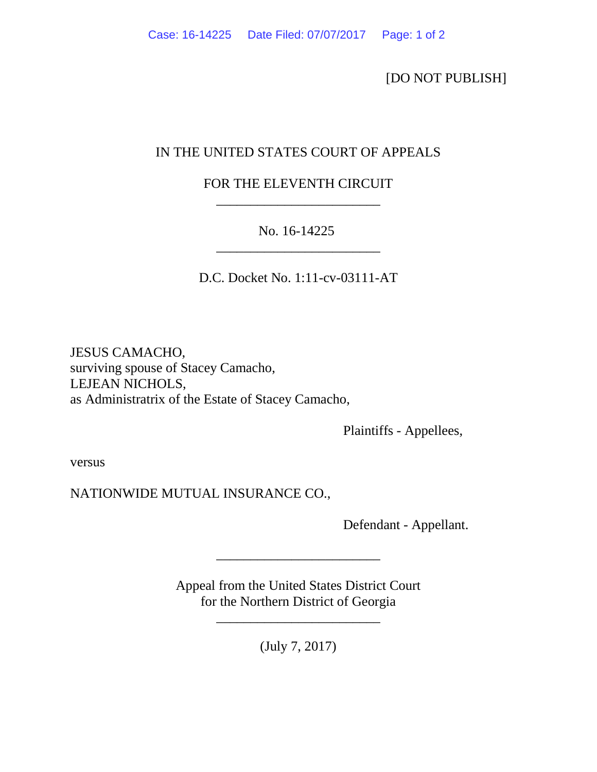[DO NOT PUBLISH]

## IN THE UNITED STATES COURT OF APPEALS

## FOR THE ELEVENTH CIRCUIT \_\_\_\_\_\_\_\_\_\_\_\_\_\_\_\_\_\_\_\_\_\_\_\_

## No. 16-14225

 $\overline{\phantom{a}}$  , and the contract of the contract of the contract of the contract of the contract of the contract of the contract of the contract of the contract of the contract of the contract of the contract of the contrac

D.C. Docket No. 1:11-cv-03111-AT

JESUS CAMACHO, surviving spouse of Stacey Camacho, LEJEAN NICHOLS, as Administratrix of the Estate of Stacey Camacho,

Plaintiffs - Appellees,

versus

NATIONWIDE MUTUAL INSURANCE CO.,

Defendant - Appellant.

Appeal from the United States District Court for the Northern District of Georgia

\_\_\_\_\_\_\_\_\_\_\_\_\_\_\_\_\_\_\_\_\_\_\_\_

\_\_\_\_\_\_\_\_\_\_\_\_\_\_\_\_\_\_\_\_\_\_\_\_

(July 7, 2017)